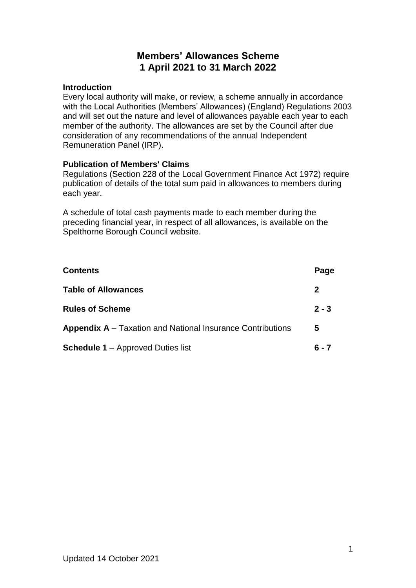# **Members' Allowances Scheme 1 April 2021 to 31 March 2022**

#### **Introduction**

Every local authority will make, or review, a scheme annually in accordance with the Local Authorities (Members' Allowances) (England) Regulations 2003 and will set out the nature and level of allowances payable each year to each member of the authority. The allowances are set by the Council after due consideration of any recommendations of the annual Independent Remuneration Panel (IRP).

### **Publication of Members' Claims**

Regulations (Section 228 of the Local Government Finance Act 1972) require publication of details of the total sum paid in allowances to members during each year.

A schedule of total cash payments made to each member during the preceding financial year, in respect of all allowances, is available on the Spelthorne Borough Council website.

| <b>Contents</b>                                                   | Page    |
|-------------------------------------------------------------------|---------|
| <b>Table of Allowances</b>                                        | 2       |
| <b>Rules of Scheme</b>                                            | $2 - 3$ |
| <b>Appendix A</b> – Taxation and National Insurance Contributions | 5       |
| <b>Schedule 1</b> – Approved Duties list                          | ճ - 7   |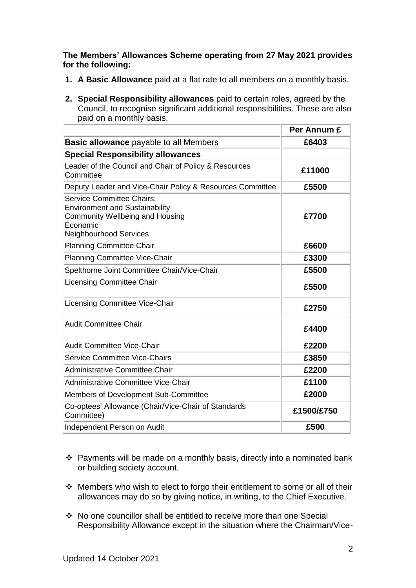### **The Members' Allowances Scheme operating from 27 May 2021 provides for the following:**

- **1. A Basic Allowance** paid at a flat rate to all members on a monthly basis.
- **2. Special Responsibility allowances** paid to certain roles, agreed by the Council, to recognise significant additional responsibilities. These are also paid on a monthly basis.

|                                                                                                                                                                  | Per Annum £ |
|------------------------------------------------------------------------------------------------------------------------------------------------------------------|-------------|
| <b>Basic allowance</b> payable to all Members                                                                                                                    | £6403       |
| <b>Special Responsibility allowances</b>                                                                                                                         |             |
| Leader of the Council and Chair of Policy & Resources<br>Committee                                                                                               | £11000      |
| Deputy Leader and Vice-Chair Policy & Resources Committee                                                                                                        | £5500       |
| <b>Service Committee Chairs:</b><br><b>Environment and Sustainability</b><br><b>Community Wellbeing and Housing</b><br>Economic<br><b>Neighbourhood Services</b> | £7700       |
| <b>Planning Committee Chair</b>                                                                                                                                  | £6600       |
| <b>Planning Committee Vice-Chair</b>                                                                                                                             | £3300       |
| Spelthorne Joint Committee Chair/Vice-Chair                                                                                                                      | £5500       |
| <b>Licensing Committee Chair</b>                                                                                                                                 | £5500       |
| Licensing Committee Vice-Chair                                                                                                                                   | £2750       |
| Audit Committee Chair                                                                                                                                            | £4400       |
| <b>Audit Committee Vice-Chair</b>                                                                                                                                | £2200       |
| <b>Service Committee Vice-Chairs</b>                                                                                                                             | £3850       |
| Administrative Committee Chair                                                                                                                                   | £2200       |
| Administrative Committee Vice-Chair                                                                                                                              | £1100       |
| Members of Development Sub-Committee                                                                                                                             | £2000       |
| Co-optees' Allowance (Chair/Vice-Chair of Standards<br>Committee)                                                                                                | £1500/£750  |
| Independent Person on Audit                                                                                                                                      | £500        |

- $\div$  Payments will be made on a monthly basis, directly into a nominated bank or building society account.
- $\cdot$  Members who wish to elect to forgo their entitlement to some or all of their allowances may do so by giving notice, in writing, to the Chief Executive.
- ◆ No one councillor shall be entitled to receive more than one Special Responsibility Allowance except in the situation where the Chairman/Vice-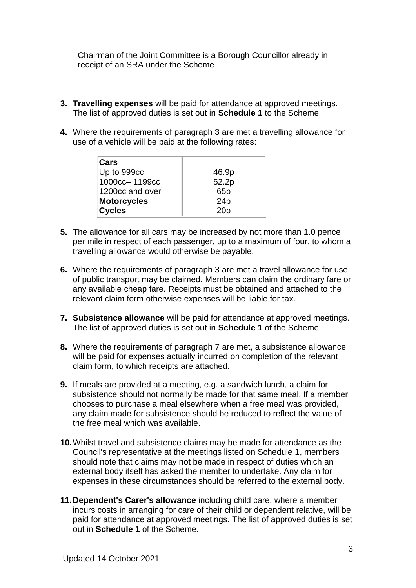Chairman of the Joint Committee is a Borough Councillor already in receipt of an SRA under the Scheme

- **3. Travelling expenses** will be paid for attendance at approved meetings. The list of approved duties is set out in **Schedule 1** to the Scheme.
- **4.** Where the requirements of paragraph 3 are met a travelling allowance for use of a vehicle will be paid at the following rates:

| Cars               |                 |
|--------------------|-----------------|
| Up to 999cc        | 46.9p           |
| 1000cc-1199cc      | 52.2p           |
| 1200cc and over    | 65 <sub>p</sub> |
| <b>Motorcycles</b> | 24p             |
| <b>Cycles</b>      | 20 <sub>p</sub> |

- **5.** The allowance for all cars may be increased by not more than 1.0 pence per mile in respect of each passenger, up to a maximum of four, to whom a travelling allowance would otherwise be payable.
- **6.** Where the requirements of paragraph 3 are met a travel allowance for use of public transport may be claimed. Members can claim the ordinary fare or any available cheap fare. Receipts must be obtained and attached to the relevant claim form otherwise expenses will be liable for tax.
- **7. Subsistence allowance** will be paid for attendance at approved meetings. The list of approved duties is set out in **Schedule 1** of the Scheme.
- **8.** Where the requirements of paragraph 7 are met, a subsistence allowance will be paid for expenses actually incurred on completion of the relevant claim form, to which receipts are attached.
- **9.** If meals are provided at a meeting, e.g. a sandwich lunch, a claim for subsistence should not normally be made for that same meal. If a member chooses to purchase a meal elsewhere when a free meal was provided, any claim made for subsistence should be reduced to reflect the value of the free meal which was available.
- **10.**Whilst travel and subsistence claims may be made for attendance as the Council's representative at the meetings listed on Schedule 1, members should note that claims may not be made in respect of duties which an external body itself has asked the member to undertake. Any claim for expenses in these circumstances should be referred to the external body.
- **11.Dependent's Carer's allowance** including child care, where a member incurs costs in arranging for care of their child or dependent relative, will be paid for attendance at approved meetings. The list of approved duties is set out in **Schedule 1** of the Scheme.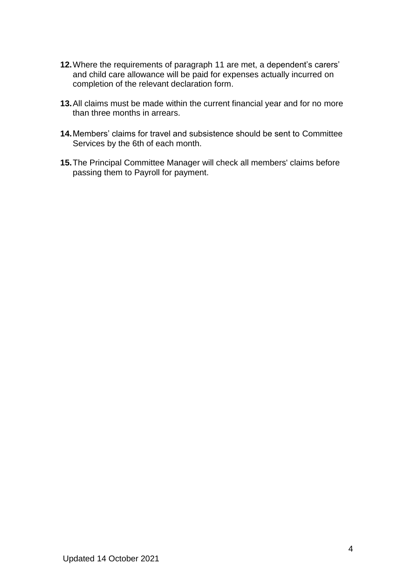- **12.**Where the requirements of paragraph 11 are met, a dependent's carers' and child care allowance will be paid for expenses actually incurred on completion of the relevant declaration form.
- **13.**All claims must be made within the current financial year and for no more than three months in arrears.
- **14.**Members' claims for travel and subsistence should be sent to Committee Services by the 6th of each month.
- **15.**The Principal Committee Manager will check all members' claims before passing them to Payroll for payment.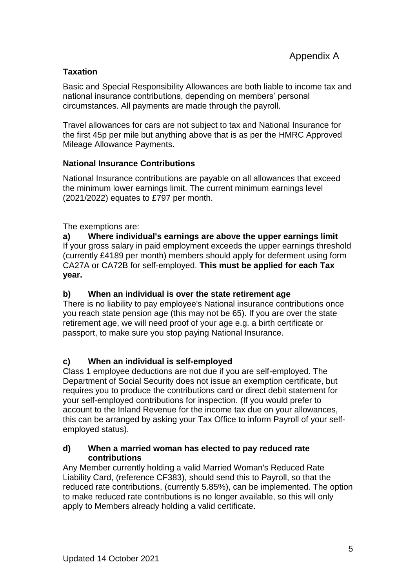## **Taxation**

Basic and Special Responsibility Allowances are both liable to income tax and national insurance contributions, depending on members' personal circumstances. All payments are made through the payroll.

Travel allowances for cars are not subject to tax and National Insurance for the first 45p per mile but anything above that is as per the HMRC Approved Mileage Allowance Payments.

## **National Insurance Contributions**

National Insurance contributions are payable on all allowances that exceed the minimum lower earnings limit. The current minimum earnings level (2021/2022) equates to £797 per month.

The exemptions are:

**a) Where individual's earnings are above the upper earnings limit** If your gross salary in paid employment exceeds the upper earnings threshold (currently £4189 per month) members should apply for deferment using form CA27A or CA72B for self-employed. **This must be applied for each Tax year.**

## **b) When an individual is over the state retirement age**

There is no liability to pay employee's National insurance contributions once you reach state pension age (this may not be 65). If you are over the state retirement age, we will need proof of your age e.g. a birth certificate or passport, to make sure you stop paying National Insurance.

# **c) When an individual is self-employed**

Class 1 employee deductions are not due if you are self-employed. The Department of Social Security does not issue an exemption certificate, but requires you to produce the contributions card or direct debit statement for your self-employed contributions for inspection. (If you would prefer to account to the Inland Revenue for the income tax due on your allowances, this can be arranged by asking your Tax Office to inform Payroll of your selfemployed status).

### **d) When a married woman has elected to pay reduced rate contributions**

Any Member currently holding a valid Married Woman's Reduced Rate Liability Card, (reference CF383), should send this to Payroll, so that the reduced rate contributions, (currently 5.85%), can be implemented. The option to make reduced rate contributions is no longer available, so this will only apply to Members already holding a valid certificate.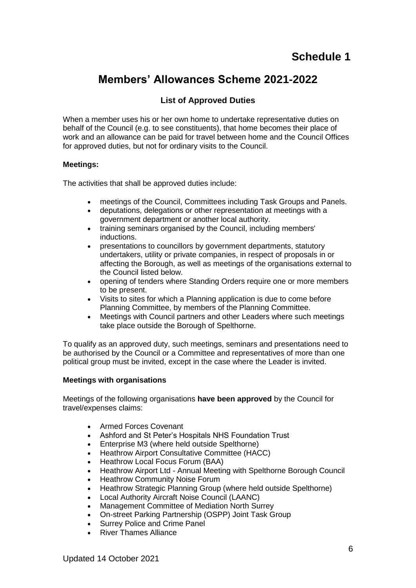# **Members' Allowances Scheme 2021-2022**

# **List of Approved Duties**

When a member uses his or her own home to undertake representative duties on behalf of the Council (e.g. to see constituents), that home becomes their place of work and an allowance can be paid for travel between home and the Council Offices for approved duties, but not for ordinary visits to the Council.

#### **Meetings:**

The activities that shall be approved duties include:

- meetings of the Council, Committees including Task Groups and Panels.
- deputations, delegations or other representation at meetings with a government department or another local authority.
- training seminars organised by the Council, including members' inductions.
- presentations to councillors by government departments, statutory undertakers, utility or private companies, in respect of proposals in or affecting the Borough, as well as meetings of the organisations external to the Council listed below.
- opening of tenders where Standing Orders require one or more members to be present.
- Visits to sites for which a Planning application is due to come before Planning Committee, by members of the Planning Committee.
- Meetings with Council partners and other Leaders where such meetings take place outside the Borough of Spelthorne.

To qualify as an approved duty, such meetings, seminars and presentations need to be authorised by the Council or a Committee and representatives of more than one political group must be invited, except in the case where the Leader is invited.

#### **Meetings with organisations**

Meetings of the following organisations **have been approved** by the Council for travel/expenses claims:

- Armed Forces Covenant
- Ashford and St Peter's Hospitals NHS Foundation Trust
- Enterprise M3 (where held outside Spelthorne)
- Heathrow Airport Consultative Committee (HACC)
- Heathrow Local Focus Forum (BAA)
- Heathrow Airport Ltd Annual Meeting with Spelthorne Borough Council
- Heathrow Community Noise Forum
- Heathrow Strategic Planning Group (where held outside Spelthorne)
- Local Authority Aircraft Noise Council (LAANC)
- Management Committee of Mediation North Surrey
- On-street Parking Partnership (OSPP) Joint Task Group
- Surrey Police and Crime Panel
- River Thames Alliance